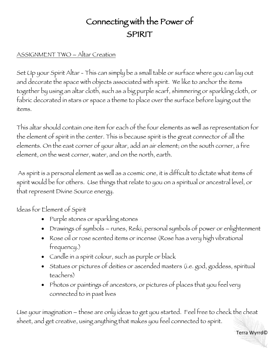## Connecting with the Power of SPIRIT

## ASSIGNMENT TWO – Altar Creation

Set Up your Spirit Altar - This can simply be a small table or surface where you can lay out and decorate the space with objects associated with spirit. We like to anchor the items together by using an altar cloth, such as a big purple scarf, shimmering or sparkling cloth, or fabric decorated in stars or space a theme to place over the surface before laying out the items.

This altar should contain one item for each of the four elements as well as representation for the element of spirit in the center. This is because spirit is the great connector of all the elements. On the east corner of your altar, add an air element; on the south corner, a fire element, on the west corner, water, and on the north, earth.

As spirit is a personal element as well as a cosmic one, it is difficult to dictate what items of spirit would be for others. Use things that relate to you on a spiritual or ancestral level, or that represent Divine Source energy.

Ideas for Element of Spirit

- Purple stones or sparkling stones
- Drawings of symbols runes, Reiki, personal symbols of power or enlightenment
- Rose oil or rose scented items or incense (Rose has a very high vibrational frequency.)
- Candle in a spirit colour, such as purple or black
- Statues or pictures of deities or ascended masters (i.e. god, goddess, spiritual teachers)
- Photos or paintings of ancestors, or pictures of places that you feel very connected to in past lives

Use your imagination – these are only ideas to get you started. Feel free to check the cheat sheet, and get creative, using anything that makes you feel connected to spirit.